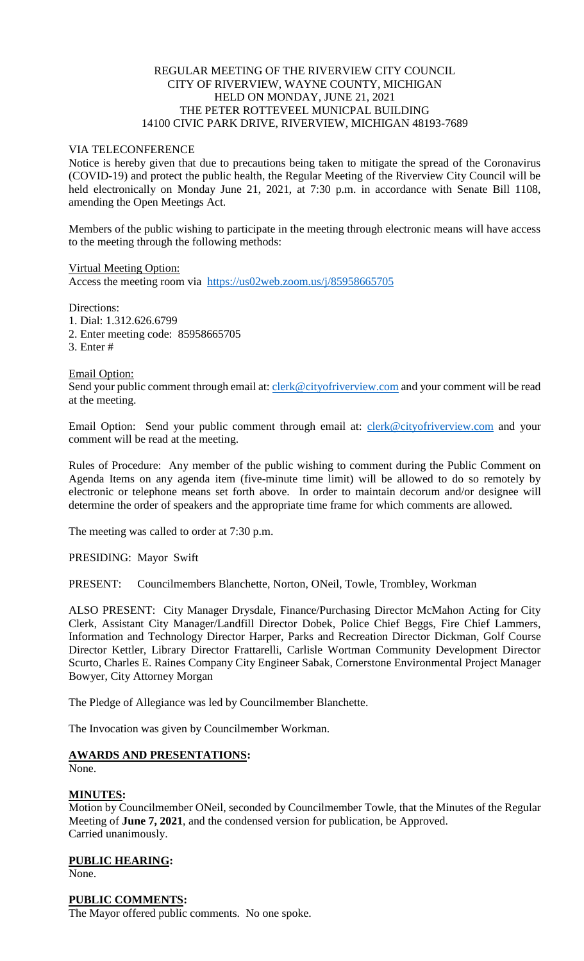# REGULAR MEETING OF THE RIVERVIEW CITY COUNCIL CITY OF RIVERVIEW, WAYNE COUNTY, MICHIGAN HELD ON MONDAY, JUNE 21, 2021 THE PETER ROTTEVEEL MUNICPAL BUILDING 14100 CIVIC PARK DRIVE, RIVERVIEW, MICHIGAN 48193-7689

# VIA TELECONFERENCE

Notice is hereby given that due to precautions being taken to mitigate the spread of the Coronavirus (COVID-19) and protect the public health, the Regular Meeting of the Riverview City Council will be held electronically on Monday June 21, 2021, at 7:30 p.m. in accordance with Senate Bill 1108, amending the Open Meetings Act.

Members of the public wishing to participate in the meeting through electronic means will have access to the meeting through the following methods:

Virtual Meeting Option: Access the meeting room via [https://us02web.zoom.us/j/85958665705](https://www.google.com/url?q=https%3A%2F%2Fus02web.zoom.us%2Fj%2F85958665705&sa=D&ust=1624454313207000&usg=AOvVaw0Z-eRviNkKEQGiFDNS91uj)

Directions:

1. Dial: 1.312.626.6799

- 2. Enter meeting code: 85958665705
- 3. Enter #

## Email Option:

Send your public comment through email at: [clerk@cityofriverview.com](mailto:clerk@cityofriverview.com) and your comment will be read at the meeting.

Email Option: Send your public comment through email at: [clerk@cityofriverview.com](mailto:clerk@cityofriverview.com) and your comment will be read at the meeting.

Rules of Procedure: Any member of the public wishing to comment during the Public Comment on Agenda Items on any agenda item (five-minute time limit) will be allowed to do so remotely by electronic or telephone means set forth above. In order to maintain decorum and/or designee will determine the order of speakers and the appropriate time frame for which comments are allowed.

The meeting was called to order at 7:30 p.m.

PRESIDING: Mayor Swift

PRESENT: Councilmembers Blanchette, Norton, ONeil, Towle, Trombley, Workman

ALSO PRESENT: City Manager Drysdale, Finance/Purchasing Director McMahon Acting for City Clerk, Assistant City Manager/Landfill Director Dobek, Police Chief Beggs, Fire Chief Lammers, Information and Technology Director Harper, Parks and Recreation Director Dickman, Golf Course Director Kettler, Library Director Frattarelli, Carlisle Wortman Community Development Director Scurto, Charles E. Raines Company City Engineer Sabak, Cornerstone Environmental Project Manager Bowyer, City Attorney Morgan

The Pledge of Allegiance was led by Councilmember Blanchette.

The Invocation was given by Councilmember Workman.

# **AWARDS AND PRESENTATIONS:**

None.

# **MINUTES:**

Motion by Councilmember ONeil, seconded by Councilmember Towle, that the Minutes of the Regular Meeting of **June 7, 2021**, and the condensed version for publication, be Approved. Carried unanimously.

**PUBLIC HEARING:** None.

**PUBLIC COMMENTS:**

The Mayor offered public comments. No one spoke.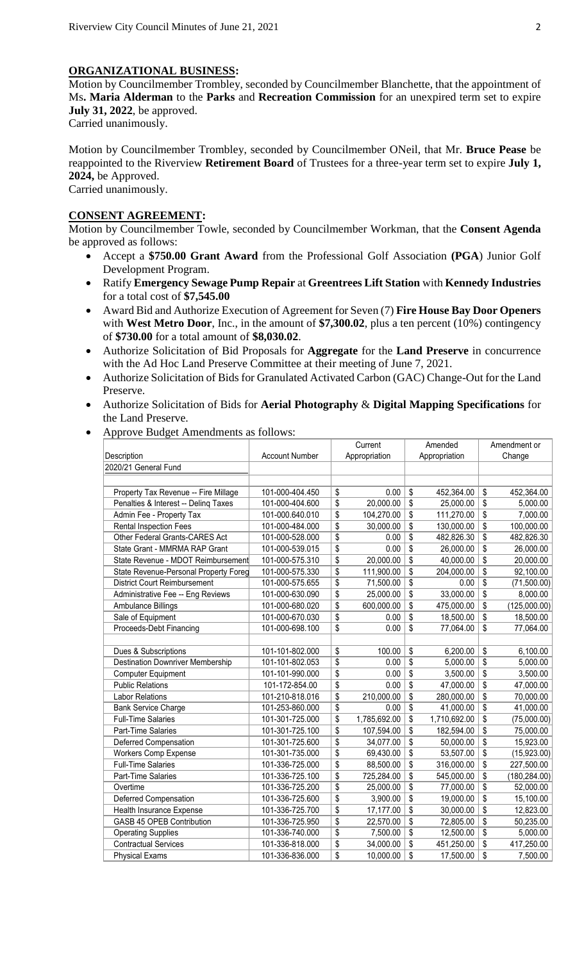# **ORGANIZATIONAL BUSINESS:**

Motion by Councilmember Trombley, seconded by Councilmember Blanchette, that the appointment of Ms**. Maria Alderman** to the **Parks** and **Recreation Commission** for an unexpired term set to expire **July 31, 2022**, be approved.

Carried unanimously.

Motion by Councilmember Trombley, seconded by Councilmember ONeil, that Mr. **Bruce Pease** be reappointed to the Riverview **Retirement Board** of Trustees for a three-year term set to expire **July 1, 2024,** be Approved. Carried unanimously.

# **CONSENT AGREEMENT:**

Motion by Councilmember Towle, seconded by Councilmember Workman, that the **Consent Agenda** be approved as follows:

- Accept a **\$750.00 Grant Award** from the Professional Golf Association **(PGA**) Junior Golf Development Program.
- Ratify **Emergency Sewage Pump Repair** at **Greentrees Lift Station** with **Kennedy Industries** for a total cost of **\$7,545.00**
- Award Bid and Authorize Execution of Agreement for Seven (7) **Fire House Bay Door Openers** with **West Metro Door**, Inc., in the amount of **\$7,300.02**, plus a ten percent (10%) contingency of **\$730.00** for a total amount of **\$8,030.02**.
- Authorize Solicitation of Bid Proposals for **Aggregate** for the **Land Preserve** in concurrence with the Ad Hoc Land Preserve Committee at their meeting of June 7, 2021.
- Authorize Solicitation of Bids for Granulated Activated Carbon (GAC) Change-Out for the Land Preserve.
- Authorize Solicitation of Bids for **Aerial Photography** & **Digital Mapping Specifications** for the Land Preserve.
- Approve Budget Amendments as follows:

|                                         |                       |                 | Current       |                 | Amended       |                 | Amendment or  |
|-----------------------------------------|-----------------------|-----------------|---------------|-----------------|---------------|-----------------|---------------|
| Description                             | <b>Account Number</b> |                 | Appropriation |                 | Appropriation |                 | Change        |
| 2020/21 General Fund                    |                       |                 |               |                 |               |                 |               |
|                                         |                       |                 |               |                 |               |                 |               |
| Property Tax Revenue -- Fire Millage    | 101-000-404.450       | \$              | 0.00          | \$              | 452,364.00    | \$              | 452,364.00    |
| Penalties & Interest -- Deling Taxes    | 101-000-404.600       | $\overline{\$}$ | 20,000.00     | \$              | 25,000.00     | \$              | 5,000.00      |
| Admin Fee - Property Tax                | 101-000.640.010       | \$              | 104,270.00    | \$              | 111,270.00    | \$              | 7,000.00      |
| <b>Rental Inspection Fees</b>           | 101-000-484.000       | \$              | 30,000.00     | \$              | 130,000.00    | \$              | 100,000.00    |
| Other Federal Grants-CARES Act          | 101-000-528.000       | $\overline{\$}$ | 0.00          | $\overline{\$}$ | 482,826.30    | \$              | 482,826.30    |
| State Grant - MMRMA RAP Grant           | 101-000-539.015       | $\overline{\$}$ | 0.00          | $\overline{\$}$ | 26,000.00     | \$              | 26,000.00     |
| State Revenue - MDOT Reimbursement      | 101-000-575.310       | \$              | 20,000.00     | \$              | 40,000.00     | \$              | 20,000.00     |
| State Revenue-Personal Property Foreg   | 101-000-575.330       | \$              | 111,900.00    | \$              | 204,000.00    | \$              | 92,100.00     |
| <b>District Court Reimbursement</b>     | 101-000-575.655       | $\overline{\$}$ | 71,500.00     | \$              | 0.00          | \$              | (71,500.00)   |
| Administrative Fee -- Eng Reviews       | 101-000-630.090       | $\overline{\$}$ | 25,000.00     | \$              | 33,000.00     | $\overline{\$}$ | 8,000.00      |
| Ambulance Billings                      | 101-000-680.020       | \$              | 600,000.00    | \$              | 475,000.00    | \$              | (125,000.00)  |
| Sale of Equipment                       | 101-000-670.030       | \$              | 0.00          | \$              | 18,500.00     | \$              | 18,500.00     |
| Proceeds-Debt Financing                 | 101-000-698.100       | $\overline{\$}$ | 0.00          | \$              | 77,064.00     | \$              | 77,064.00     |
|                                         |                       |                 |               |                 |               |                 |               |
| Dues & Subscriptions                    | 101-101-802.000       | \$              | 100.00        | \$              | 6,200.00      | \$              | 6,100.00      |
| <b>Destination Downriver Membership</b> | 101-101-802.053       | \$              | 0.00          | \$              | 5,000.00      | \$              | 5,000.00      |
| Computer Equipment                      | 101-101-990.000       | \$              | 0.00          | \$              | 3,500.00      | \$              | 3,500.00      |
| <b>Public Relations</b>                 | 101-172-854.00        | $\overline{\$}$ | 0.00          | $\overline{\$}$ | 47,000.00     | \$              | 47,000.00     |
| <b>Labor Relations</b>                  | 101-210-818.016       | \$              | 210,000.00    | \$              | 280,000.00    | \$              | 70,000.00     |
| <b>Bank Service Charge</b>              | 101-253-860.000       | \$              | 0.00          | \$              | 41,000.00     | \$              | 41,000.00     |
| <b>Full-Time Salaries</b>               | 101-301-725.000       | \$              | 1,785,692.00  | \$              | 1,710,692.00  | \$              | (75,000.00)   |
| Part-Time Salaries                      | 101-301-725.100       | \$              | 107,594.00    | \$              | 182,594.00    | \$              | 75,000.00     |
| Deferred Compensation                   | 101-301-725.600       | \$              | 34,077.00     | \$              | 50,000.00     | \$              | 15,923.00     |
| Workers Comp Expense                    | 101-301-735.000       | \$              | 69,430.00     | \$              | 53,507.00     | \$              | (15,923.00)   |
| <b>Full-Time Salaries</b>               | 101-336-725.000       | \$              | 88,500.00     | \$              | 316,000.00    | \$              | 227,500.00    |
| Part-Time Salaries                      | 101-336-725.100       | $\overline{\$}$ | 725,284.00    | \$              | 545,000.00    | \$              | (180, 284.00) |
| Overtime                                | 101-336-725.200       | \$              | 25,000.00     | \$              | 77,000.00     | \$              | 52,000.00     |
| Deferred Compensation                   | 101-336-725.600       | \$              | 3,900.00      | \$              | 19,000.00     | \$              | 15,100.00     |
| Health Insurance Expense                | 101-336-725.700       | \$              | 17,177.00     | \$              | 30,000.00     | \$              | 12,823.00     |
| GASB 45 OPEB Contribution               | 101-336-725.950       | \$              | 22,570.00     | \$              | 72,805.00     | \$              | 50,235.00     |
| <b>Operating Supplies</b>               | 101-336-740.000       | \$              | 7,500.00      | \$              | 12,500.00     | \$              | 5,000.00      |
| <b>Contractual Services</b>             | 101-336-818.000       | \$              | 34,000.00     | \$              | 451,250.00    | \$              | 417,250.00    |
| <b>Physical Exams</b>                   | 101-336-836.000       | \$              | 10,000.00     | \$              | 17,500.00     | \$              | 7,500.00      |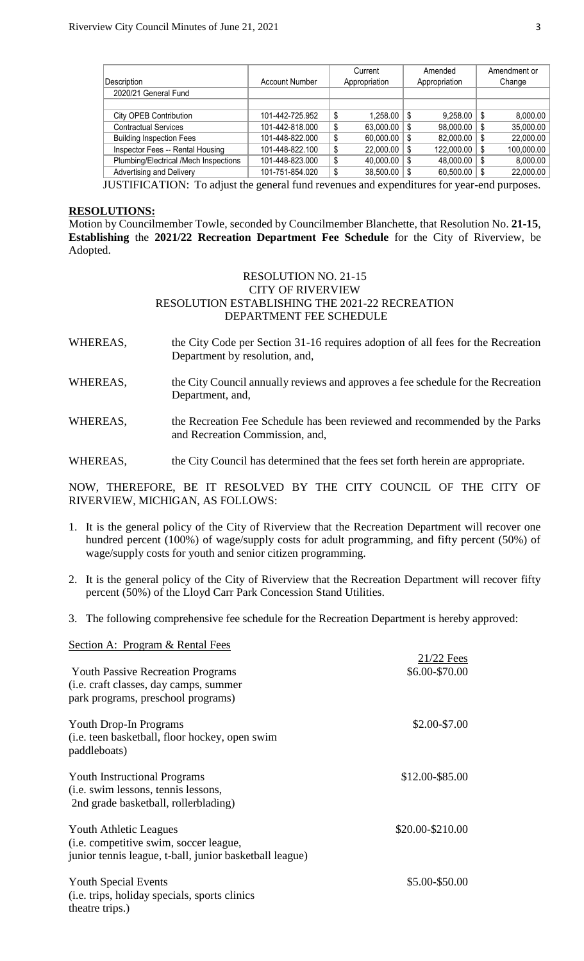|                       |   | Current   |               | Amended       |      | Amendment or |
|-----------------------|---|-----------|---------------|---------------|------|--------------|
| <b>Account Number</b> |   |           |               | Appropriation |      | Change       |
|                       |   |           |               |               |      |              |
|                       |   |           |               |               |      |              |
| 101-442-725.952       | S | 1,258.00  | \$            | 9,258.00      | -\$  | 8,000.00     |
| 101-442-818.000       |   | 63,000.00 |               | 98,000.00     |      | 35,000.00    |
| 101-448-822.000       |   | 60,000.00 | S             | 82.000.00     | - \$ | 22,000.00    |
| 101-448-822.100       |   | 22,000.00 | S             | 122.000.00    | - \$ | 100,000.00   |
| 101-448-823.000       |   | 40,000.00 | S             | 48,000.00     | - \$ | 8,000.00     |
| 101-751-854.020       |   | 38,500.00 | S             | 60,500.00     | - \$ | 22,000.00    |
|                       |   |           | Appropriation |               |      |              |

JUSTIFICATION: To adjust the general fund revenues and expenditures for year-end purposes.

### **RESOLUTIONS:**

Motion by Councilmember Towle, seconded by Councilmember Blanchette, that Resolution No. **21-15**, **Establishing** the **2021/22 Recreation Department Fee Schedule** for the City of Riverview, be Adopted.

## RESOLUTION NO. 21-15 CITY OF RIVERVIEW RESOLUTION ESTABLISHING THE 2021-22 RECREATION DEPARTMENT FEE SCHEDULE

- WHEREAS, the City Code per Section 31-16 requires adoption of all fees for the Recreation Department by resolution, and,
- WHEREAS, the City Council annually reviews and approves a fee schedule for the Recreation Department, and,
- WHEREAS, the Recreation Fee Schedule has been reviewed and recommended by the Parks and Recreation Commission, and,
- WHEREAS, the City Council has determined that the fees set forth herein are appropriate.

NOW, THEREFORE, BE IT RESOLVED BY THE CITY COUNCIL OF THE CITY OF RIVERVIEW, MICHIGAN, AS FOLLOWS:

- 1. It is the general policy of the City of Riverview that the Recreation Department will recover one hundred percent (100%) of wage/supply costs for adult programming, and fifty percent (50%) of wage/supply costs for youth and senior citizen programming.
- 2. It is the general policy of the City of Riverview that the Recreation Department will recover fifty percent (50%) of the Lloyd Carr Park Concession Stand Utilities.
- 3. The following comprehensive fee schedule for the Recreation Department is hereby approved:

| Section A: Program & Rental Fees                        |                  |
|---------------------------------------------------------|------------------|
|                                                         | $21/22$ Fees     |
| <b>Youth Passive Recreation Programs</b>                | \$6.00-\$70.00   |
| ( <i>i.e.</i> craft classes, day camps, summer          |                  |
| park programs, preschool programs)                      |                  |
| Youth Drop-In Programs                                  | \$2.00-\$7.00    |
| (i.e. teen basketball, floor hockey, open swim          |                  |
| paddleboats)                                            |                  |
| <b>Youth Instructional Programs</b>                     | \$12.00-\$85.00  |
| ( <i>i.e.</i> swim lessons, tennis lessons,             |                  |
| 2nd grade basketball, rollerblading)                    |                  |
| <b>Youth Athletic Leagues</b>                           | \$20.00-\$210.00 |
| ( <i>i.e.</i> competitive swim, soccer league,          |                  |
| junior tennis league, t-ball, junior basketball league) |                  |
| <b>Youth Special Events</b>                             | \$5.00-\$50.00   |
| ( <i>i.e. trips, holiday specials, sports clinics</i> ) |                  |
| theatre trips.)                                         |                  |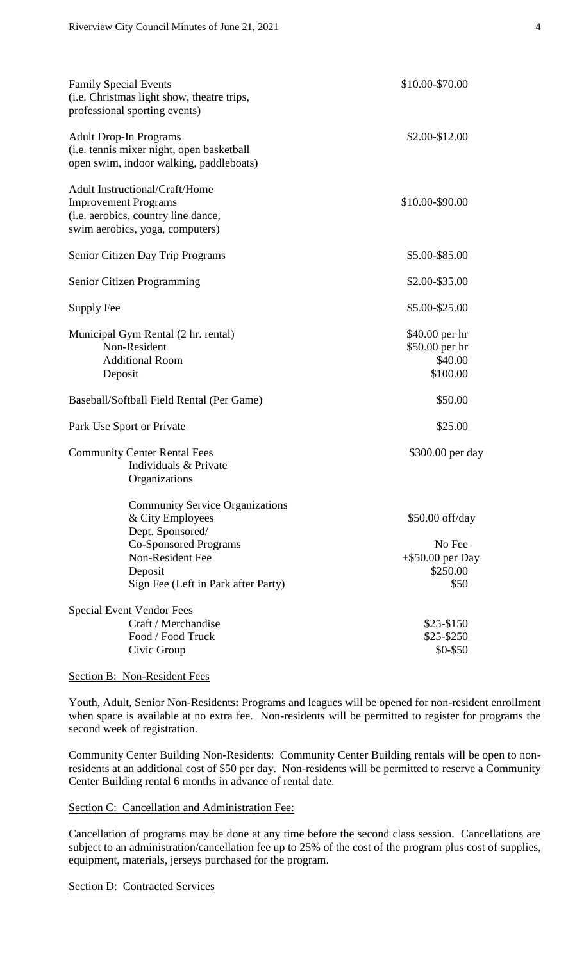| <b>Family Special Events</b><br>(i.e. Christmas light show, theatre trips,<br>professional sporting events)                                                                          | \$10.00-\$70.00                                                      |
|--------------------------------------------------------------------------------------------------------------------------------------------------------------------------------------|----------------------------------------------------------------------|
| <b>Adult Drop-In Programs</b><br>(i.e. tennis mixer night, open basketball<br>open swim, indoor walking, paddleboats)                                                                | \$2.00-\$12.00                                                       |
| <b>Adult Instructional/Craft/Home</b><br><b>Improvement Programs</b><br>(i.e. aerobics, country line dance,<br>swim aerobics, yoga, computers)                                       | \$10.00-\$90.00                                                      |
| Senior Citizen Day Trip Programs                                                                                                                                                     | \$5.00-\$85.00                                                       |
| Senior Citizen Programming                                                                                                                                                           | \$2.00-\$35.00                                                       |
| Supply Fee                                                                                                                                                                           | \$5.00-\$25.00                                                       |
| Municipal Gym Rental (2 hr. rental)<br>Non-Resident<br><b>Additional Room</b><br>Deposit                                                                                             | \$40.00 per hr<br>\$50.00 per hr<br>\$40.00<br>\$100.00              |
| Baseball/Softball Field Rental (Per Game)                                                                                                                                            | \$50.00                                                              |
| Park Use Sport or Private                                                                                                                                                            | \$25.00                                                              |
| <b>Community Center Rental Fees</b><br>Individuals & Private<br>Organizations                                                                                                        | \$300.00 per day                                                     |
| <b>Community Service Organizations</b><br>& City Employees<br>Dept. Sponsored/<br><b>Co-Sponsored Programs</b><br>Non-Resident Fee<br>Deposit<br>Sign Fee (Left in Park after Party) | \$50.00 off/day<br>No Fee<br>$+$ \$50.00 per Day<br>\$250.00<br>\$50 |
| <b>Special Event Vendor Fees</b><br>Craft / Merchandise<br>Food / Food Truck<br>Civic Group                                                                                          | $$25 - $150$<br>\$25-\$250<br>$$0-$50$                               |

## Section B: Non-Resident Fees

Youth, Adult, Senior Non-Residents**:** Programs and leagues will be opened for non-resident enrollment when space is available at no extra fee. Non-residents will be permitted to register for programs the second week of registration.

Community Center Building Non-Residents: Community Center Building rentals will be open to nonresidents at an additional cost of \$50 per day. Non-residents will be permitted to reserve a Community Center Building rental 6 months in advance of rental date.

# Section C: Cancellation and Administration Fee:

Cancellation of programs may be done at any time before the second class session. Cancellations are subject to an administration/cancellation fee up to 25% of the cost of the program plus cost of supplies, equipment, materials, jerseys purchased for the program.

Section D: Contracted Services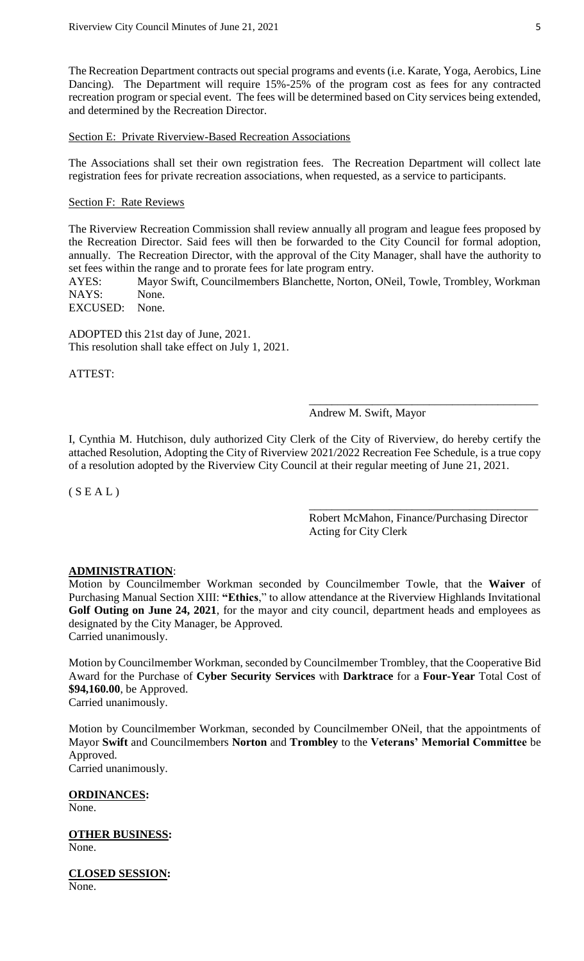The Recreation Department contracts out special programs and events (i.e. Karate, Yoga, Aerobics, Line Dancing). The Department will require 15%-25% of the program cost as fees for any contracted recreation program or special event. The fees will be determined based on City services being extended, and determined by the Recreation Director.

Section E: Private Riverview-Based Recreation Associations

The Associations shall set their own registration fees. The Recreation Department will collect late registration fees for private recreation associations, when requested, as a service to participants.

#### Section F: Rate Reviews

The Riverview Recreation Commission shall review annually all program and league fees proposed by the Recreation Director. Said fees will then be forwarded to the City Council for formal adoption, annually. The Recreation Director, with the approval of the City Manager, shall have the authority to set fees within the range and to prorate fees for late program entry.

AYES: Mayor Swift, Councilmembers Blanchette, Norton, ONeil, Towle, Trombley, Workman NAYS: None.

EXCUSED: None.

ADOPTED this 21st day of June, 2021. This resolution shall take effect on July 1, 2021.

ATTEST:

Andrew M. Swift, Mayor

I, Cynthia M. Hutchison, duly authorized City Clerk of the City of Riverview, do hereby certify the attached Resolution, Adopting the City of Riverview 2021/2022 Recreation Fee Schedule, is a true copy of a resolution adopted by the Riverview City Council at their regular meeting of June 21, 2021.

 $(S E A L)$ 

Robert McMahon, Finance/Purchasing Director Acting for City Clerk

\_\_\_\_\_\_\_\_\_\_\_\_\_\_\_\_\_\_\_\_\_\_\_\_\_\_\_\_\_\_\_\_\_\_\_\_\_\_\_\_

\_\_\_\_\_\_\_\_\_\_\_\_\_\_\_\_\_\_\_\_\_\_\_\_\_\_\_\_\_\_\_\_\_\_\_\_\_\_\_\_

#### **ADMINISTRATION**:

Motion by Councilmember Workman seconded by Councilmember Towle, that the **Waiver** of Purchasing Manual Section XIII: **"Ethics**," to allow attendance at the Riverview Highlands Invitational **Golf Outing on June 24, 2021**, for the mayor and city council, department heads and employees as designated by the City Manager, be Approved. Carried unanimously.

Motion by Councilmember Workman, seconded by Councilmember Trombley, that the Cooperative Bid Award for the Purchase of **Cyber Security Services** with **Darktrace** for a **Four-Year** Total Cost of **\$94,160.00**, be Approved. Carried unanimously.

Motion by Councilmember Workman, seconded by Councilmember ONeil, that the appointments of Mayor **Swift** and Councilmembers **Norton** and **Trombley** to the **Veterans' Memorial Committee** be Approved.

Carried unanimously.

**ORDINANCES:** None.

**OTHER BUSINESS:** None.

**CLOSED SESSION:** None.